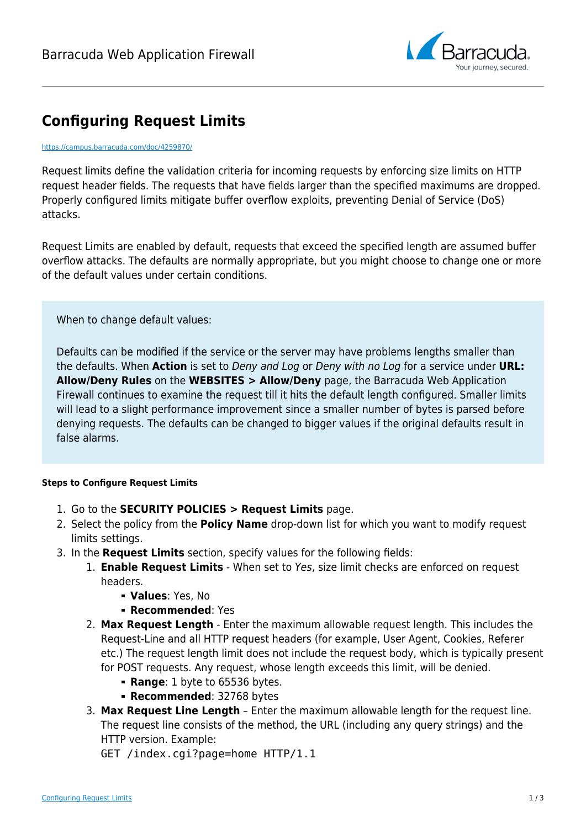

## **Configuring Request Limits**

## <https://campus.barracuda.com/doc/4259870/>

Request limits define the validation criteria for incoming requests by enforcing size limits on HTTP request header fields. The requests that have fields larger than the specified maximums are dropped. Properly configured limits mitigate buffer overflow exploits, preventing Denial of Service (DoS) attacks.

Request Limits are enabled by default, requests that exceed the specified length are assumed buffer overflow attacks. The defaults are normally appropriate, but you might choose to change one or more of the default values under certain conditions.

When to change default values:

Defaults can be modified if the service or the server may have problems lengths smaller than the defaults. When **Action** is set to Deny and Log or Deny with no Log for a service under **URL: Allow/Deny Rules** on the **WEBSITES > Allow/Deny** page, the Barracuda Web Application Firewall continues to examine the request till it hits the default length configured. Smaller limits will lead to a slight performance improvement since a smaller number of bytes is parsed before denying requests. The defaults can be changed to bigger values if the original defaults result in false alarms.

## **Steps to Configure Request Limits**

- 1. Go to the **SECURITY POLICIES > Request Limits** page.
- 2. Select the policy from the **Policy Name** drop-down list for which you want to modify request limits settings.
- 3. In the **Request Limits** section, specify values for the following fields:
	- 1. **Enable Request Limits** When set to Yes, size limit checks are enforced on request headers.
		- **Values**: Yes, No
		- **Recommended: Yes**
	- 2. **Max Request Length** Enter the maximum allowable request length. This includes the Request-Line and all HTTP request headers (for example, User Agent, Cookies, Referer etc.) The request length limit does not include the request body, which is typically present for POST requests. Any request, whose length exceeds this limit, will be denied.
		- **Range: 1 byte to 65536 bytes.**
		- **Recommended: 32768 bytes**
	- 3. **Max Request Line Length** Enter the maximum allowable length for the request line. The request line consists of the method, the URL (including any query strings) and the HTTP version. Example:
		- GET /index.cgi?page=home HTTP/1.1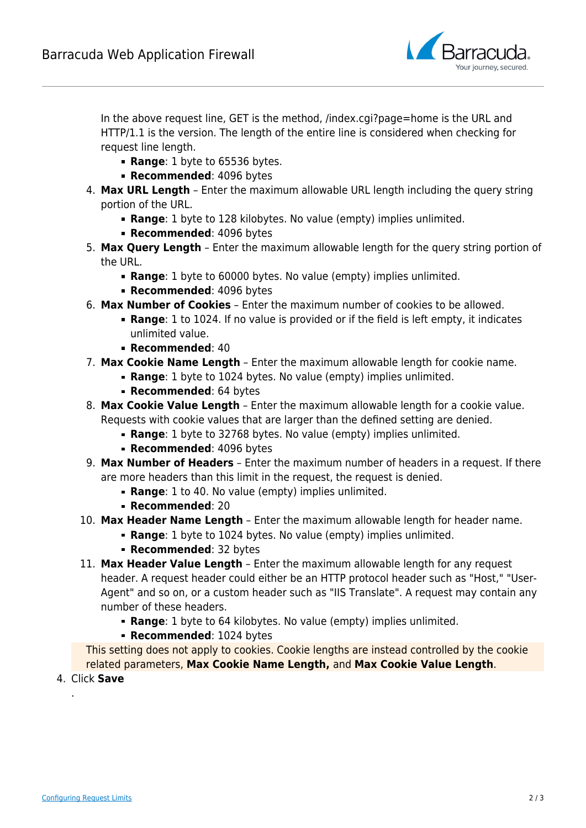

In the above request line, GET is the method, /index.cgi?page=home is the URL and HTTP/1.1 is the version. The length of the entire line is considered when checking for request line length.

- **Range: 1 byte to 65536 bytes.**
- **Recommended: 4096 bytes**
- 4. **Max URL Length** Enter the maximum allowable URL length including the query string portion of the URL.
	- **Range**: 1 byte to 128 kilobytes. No value (empty) implies unlimited.
	- **Recommended: 4096 bytes**
- 5. **Max Query Length** Enter the maximum allowable length for the query string portion of the URL.
	- **Range**: 1 byte to 60000 bytes. No value (empty) implies unlimited.
	- **Recommended: 4096 bytes**
- 6. **Max Number of Cookies** Enter the maximum number of cookies to be allowed.
	- **Range**: 1 to 1024. If no value is provided or if the field is left empty, it indicates unlimited value.
	- **Recommended**: 40
- 7. **Max Cookie Name Length** Enter the maximum allowable length for cookie name.
	- **Range**: 1 byte to 1024 bytes. No value (empty) implies unlimited.
		- **Recommended: 64 bytes**
- 8. **Max Cookie Value Length** Enter the maximum allowable length for a cookie value. Requests with cookie values that are larger than the defined setting are denied.
	- **Range**: 1 byte to 32768 bytes. No value (empty) implies unlimited.
	- **Recommended: 4096 bytes**
- 9. **Max Number of Headers** Enter the maximum number of headers in a request. If there are more headers than this limit in the request, the request is denied.
	- **Range**: 1 to 40. No value (empty) implies unlimited.
	- **Recommended**: 20
- 10. **Max Header Name Length** Enter the maximum allowable length for header name.
	- **Range**: 1 byte to 1024 bytes. No value (empty) implies unlimited.
	- **Recommended: 32 bytes**
- 11. **Max Header Value Length** Enter the maximum allowable length for any request header. A request header could either be an HTTP protocol header such as "Host," "User-Agent" and so on, or a custom header such as "IIS Translate". A request may contain any number of these headers.
	- **Range**: 1 byte to 64 kilobytes. No value (empty) implies unlimited.
	- **Recommended: 1024 bytes**

This setting does not apply to cookies. Cookie lengths are instead controlled by the cookie related parameters, **Max Cookie Name Length,** and **Max Cookie Value Length**.

4. Click **Save**

.